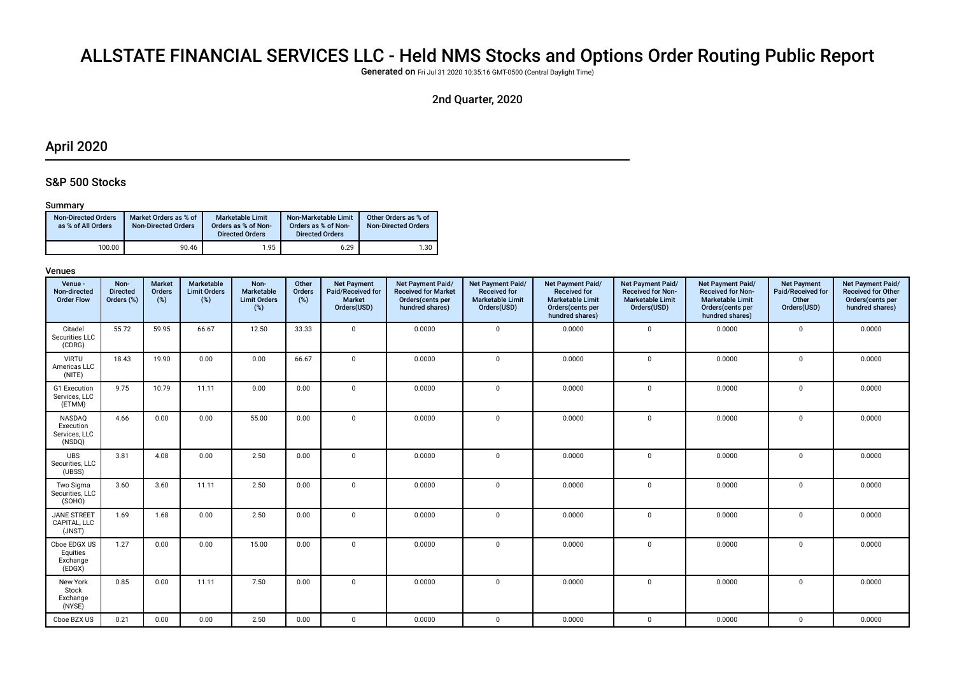# ALLSTATE FINANCIAL SERVICES LLC - Held NMS Stocks and Options Order Routing Public Report

Generated on Fri Jul 31 2020 10:35:16 GMT-0500 (Central Daylight Time)

# 2nd Quarter, 2020

# April 2020

## S&P 500 Stocks

#### Summary

| <b>Non-Directed Orders</b><br>as % of All Orders | Market Orders as % of<br><b>Non-Directed Orders</b> | Marketable Limit<br>Orders as % of Non-<br><b>Directed Orders</b> | Non-Marketable Limit<br>Orders as % of Non-<br><b>Directed Orders</b> | Other Orders as % of<br><b>Non-Directed Orders</b> |
|--------------------------------------------------|-----------------------------------------------------|-------------------------------------------------------------------|-----------------------------------------------------------------------|----------------------------------------------------|
| 100.00                                           | 90.46                                               | 1.95                                                              | 6.29                                                                  | 1.30                                               |

| Venue -<br>Non-directed<br><b>Order Flow</b>   | Non-<br><b>Directed</b><br>Orders (%) | Market<br>Orders<br>(%) | Marketable<br><b>Limit Orders</b><br>$(\%)$ | Non-<br>Marketable<br><b>Limit Orders</b><br>(%) | Other<br><b>Orders</b><br>(%) | <b>Net Payment</b><br>Paid/Received for<br><b>Market</b><br>Orders(USD) | Net Payment Paid/<br><b>Received for Market</b><br>Orders(cents per<br>hundred shares) | Net Payment Paid/<br><b>Received for</b><br><b>Marketable Limit</b><br>Orders(USD) | Net Payment Paid/<br><b>Received for</b><br><b>Marketable Limit</b><br>Orders(cents per<br>hundred shares) | Net Payment Paid/<br><b>Received for Non-</b><br><b>Marketable Limit</b><br>Orders(USD) | Net Payment Paid/<br><b>Received for Non-</b><br><b>Marketable Limit</b><br>Orders(cents per<br>hundred shares) | <b>Net Payment</b><br>Paid/Received for<br>Other<br>Orders(USD) | Net Payment Paid/<br>Received for Other<br>Orders(cents per<br>hundred shares) |
|------------------------------------------------|---------------------------------------|-------------------------|---------------------------------------------|--------------------------------------------------|-------------------------------|-------------------------------------------------------------------------|----------------------------------------------------------------------------------------|------------------------------------------------------------------------------------|------------------------------------------------------------------------------------------------------------|-----------------------------------------------------------------------------------------|-----------------------------------------------------------------------------------------------------------------|-----------------------------------------------------------------|--------------------------------------------------------------------------------|
| Citadel<br>Securities LLC<br>(CDRG)            | 55.72                                 | 59.95                   | 66.67                                       | 12.50                                            | 33.33                         | $\mathsf 0$                                                             | 0.0000                                                                                 | $\mathbf 0$                                                                        | 0.0000                                                                                                     | $\mathbf 0$                                                                             | 0.0000                                                                                                          | $\mathbf 0$                                                     | 0.0000                                                                         |
| <b>VIRTU</b><br>Americas LLC<br>(NITE)         | 18.43                                 | 19.90                   | 0.00                                        | 0.00                                             | 66.67                         | $\mathsf 0$                                                             | 0.0000                                                                                 | $\mathbf 0$                                                                        | 0.0000                                                                                                     | $\mathbf 0$                                                                             | 0.0000                                                                                                          | $\mathbf 0$                                                     | 0.0000                                                                         |
| G1 Execution<br>Services, LLC<br>(ETMM)        | 9.75                                  | 10.79                   | 11.11                                       | 0.00                                             | 0.00                          | $\mathbf 0$                                                             | 0.0000                                                                                 | $\mathbf 0$                                                                        | 0.0000                                                                                                     | $\mathbf 0$                                                                             | 0.0000                                                                                                          | $\mathbf 0$                                                     | 0.0000                                                                         |
| NASDAQ<br>Execution<br>Services, LLC<br>(NSDQ) | 4.66                                  | 0.00                    | 0.00                                        | 55.00                                            | 0.00                          | 0                                                                       | 0.0000                                                                                 | $\mathbf 0$                                                                        | 0.0000                                                                                                     | $\mathbf 0$                                                                             | 0.0000                                                                                                          | $\mathbf{0}$                                                    | 0.0000                                                                         |
| <b>UBS</b><br>Securities, LLC<br>(UBSS)        | 3.81                                  | 4.08                    | 0.00                                        | 2.50                                             | 0.00                          | $\mathbf 0$                                                             | 0.0000                                                                                 | $\mathbf 0$                                                                        | 0.0000                                                                                                     | $\mathbf 0$                                                                             | 0.0000                                                                                                          | $\mathbf 0$                                                     | 0.0000                                                                         |
| Two Sigma<br>Securities, LLC<br>(SOHO)         | 3.60                                  | 3.60                    | 11.11                                       | 2.50                                             | 0.00                          | $\mathbf 0$                                                             | 0.0000                                                                                 | $\Omega$                                                                           | 0.0000                                                                                                     | $\mathbf 0$                                                                             | 0.0000                                                                                                          | $\mathbf 0$                                                     | 0.0000                                                                         |
| <b>JANE STREET</b><br>CAPITAL, LLC<br>(JNST)   | 1.69                                  | 1.68                    | 0.00                                        | 2.50                                             | 0.00                          | $\mathbf 0$                                                             | 0.0000                                                                                 | $\Omega$                                                                           | 0.0000                                                                                                     | $\mathbf 0$                                                                             | 0.0000                                                                                                          | $\mathbf 0$                                                     | 0.0000                                                                         |
| Cboe EDGX US<br>Equities<br>Exchange<br>(EDGX) | 1.27                                  | 0.00                    | 0.00                                        | 15.00                                            | 0.00                          | 0                                                                       | 0.0000                                                                                 | $\mathbf 0$                                                                        | 0.0000                                                                                                     | $\mathbf 0$                                                                             | 0.0000                                                                                                          | $\Omega$                                                        | 0.0000                                                                         |
| New York<br>Stock<br>Exchange<br>(NYSE)        | 0.85                                  | 0.00                    | 11.11                                       | 7.50                                             | 0.00                          | $\mathbf 0$                                                             | 0.0000                                                                                 | $\mathbf 0$                                                                        | 0.0000                                                                                                     | $\mathbf 0$                                                                             | 0.0000                                                                                                          | $\mathbf 0$                                                     | 0.0000                                                                         |
| Cboe BZX US                                    | 0.21                                  | 0.00                    | 0.00                                        | 2.50                                             | 0.00                          | 0                                                                       | 0.0000                                                                                 | $\mathbf 0$                                                                        | 0.0000                                                                                                     | $\mathbf 0$                                                                             | 0.0000                                                                                                          | $\mathsf{O}$                                                    | 0.0000                                                                         |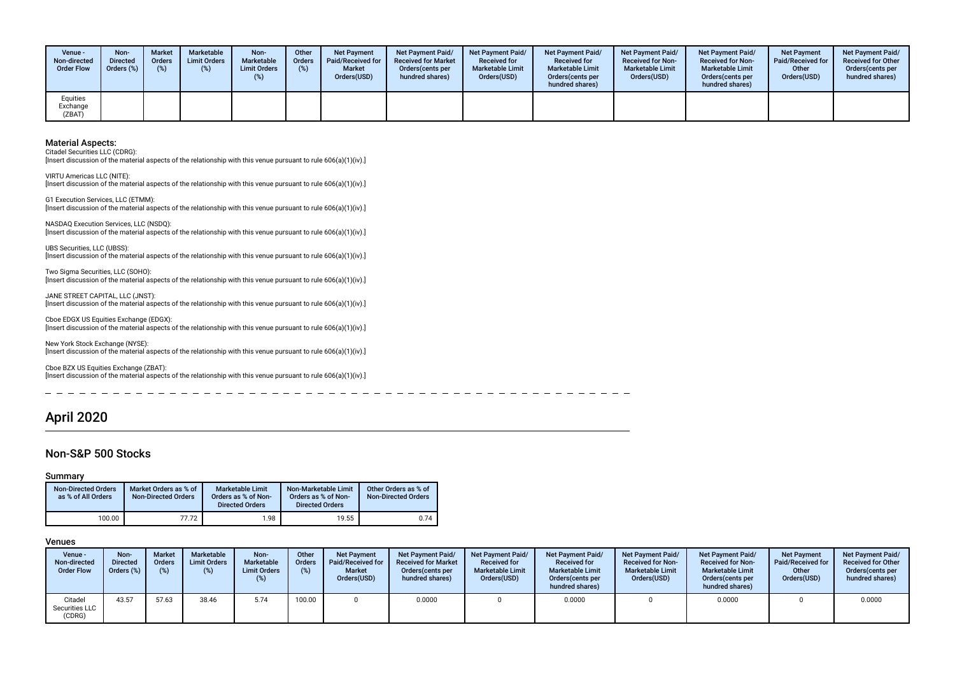| Venue -<br>Non-directed<br><b>Order Flow</b> | Non-<br><b>Directed</b><br>Orders (%) | <b>Market</b><br><b>Orders</b><br>$(\%)$ | Marketable<br><b>Limit Orders</b> | Non-<br>Marketable<br><b>Limit Orders</b><br>(%) | Other<br><b>Orders</b><br>(%) | <b>Net Payment</b><br><b>Paid/Received for</b><br><b>Market</b><br>Orders(USD) | <b>Net Payment Paid/</b><br><b>Received for Market</b><br>Orders(cents per<br>hundred shares) | <b>Net Payment Paid/</b><br><b>Received for</b><br><b>Marketable Limit</b><br>Orders(USD) | <b>Net Payment Paid/</b><br><b>Received for</b><br><b>Marketable Limit</b><br>Orders(cents per<br>hundred shares) | <b>Net Payment Paid/</b><br><b>Received for Non-</b><br><b>Marketable Limit</b><br>Orders(USD) | <b>Net Payment Paid/</b><br><b>Received for Non-</b><br><b>Marketable Limit</b><br>Orders (cents per<br>hundred shares) | <b>Net Payment</b><br><b>Paid/Received for</b><br>Other<br>Orders(USD) | <b>Net Payment Paid/</b><br><b>Received for Other</b><br>Orders(cents per<br>hundred shares) |
|----------------------------------------------|---------------------------------------|------------------------------------------|-----------------------------------|--------------------------------------------------|-------------------------------|--------------------------------------------------------------------------------|-----------------------------------------------------------------------------------------------|-------------------------------------------------------------------------------------------|-------------------------------------------------------------------------------------------------------------------|------------------------------------------------------------------------------------------------|-------------------------------------------------------------------------------------------------------------------------|------------------------------------------------------------------------|----------------------------------------------------------------------------------------------|
| Equities<br>Exchange<br>(ZBAT)               |                                       |                                          |                                   |                                                  |                               |                                                                                |                                                                                               |                                                                                           |                                                                                                                   |                                                                                                |                                                                                                                         |                                                                        |                                                                                              |

Citadel Securities LLC (CDRG):

[Insert discussion of the material aspects of the relationship with this venue pursuant to rule 606(a)(1)(iv).]

VIRTU Americas LLC (NITE): [Insert discussion of the material aspects of the relationship with this venue pursuant to rule 606(a)(1)(iv).]

G1 Execution Services, LLC (ETMM): [Insert discussion of the material aspects of the relationship with this venue pursuant to rule 606(a)(1)(iv).]

NASDAQ Execution Services, LLC (NSDQ): [Insert discussion of the material aspects of the relationship with this venue pursuant to rule 606(a)(1)(iv).]

UBS Securities, LLC (UBSS): [Insert discussion of the material aspects of the relationship with this venue pursuant to rule 606(a)(1)(iv).]

Two Sigma Securities, LLC (SOHO): [Insert discussion of the material aspects of the relationship with this venue pursuant to rule 606(a)(1)(iv).]

JANE STREET CAPITAL, LLC (JNST): [Insert discussion of the material aspects of the relationship with this venue pursuant to rule 606(a)(1)(iv).]

Cboe EDGX US Equities Exchange (EDGX): [Insert discussion of the material aspects of the relationship with this venue pursuant to rule 606(a)(1)(iv).]

New York Stock Exchange (NYSE): [Insert discussion of the material aspects of the relationship with this venue pursuant to rule 606(a)(1)(iv).]

Cboe BZX US Equities Exchange (ZBAT): [Insert discussion of the material aspects of the relationship with this venue pursuant to rule 606(a)(1)(iv).]

# April 2020

 $\equiv$ 

#### Non-S&P 500 Stocks

#### Summary

| <b>Non-Directed Orders</b><br>as % of All Orders | Market Orders as % of<br><b>Non-Directed Orders</b> | <b>Marketable Limit</b><br>Orders as % of Non-<br><b>Directed Orders</b> | Non-Marketable Limit<br>Orders as % of Non-<br><b>Directed Orders</b> | Other Orders as % of<br><b>Non-Directed Orders</b> |
|--------------------------------------------------|-----------------------------------------------------|--------------------------------------------------------------------------|-----------------------------------------------------------------------|----------------------------------------------------|
| 100.00                                           | 77.72                                               | 1.98                                                                     | 19.55                                                                 | 0.74                                               |

 $-$ 

| Venue -<br>Non-directed<br><b>Order Flow</b> | Non-<br><b>Directed</b><br>Orders (%) | <b>Market</b><br><b>Orders</b> | Marketable<br><b>Limit Orders</b><br>$(\%)$ | Non-<br><b>Marketable</b><br><b>Limit Orders</b><br>(%) | Other<br><b>Orders</b><br>(%) | <b>Net Payment</b><br>Paid/Received for<br><b>Market</b><br>Orders(USD) | Net Payment Paid/<br><b>Received for Market</b><br>Orders (cents per<br>hundred shares) | <b>Net Payment Paid/</b><br><b>Received for</b><br><b>Marketable Limit</b><br>Orders(USD) | Net Payment Paid/<br><b>Received for</b><br><b>Marketable Limit</b><br>Orders (cents per<br>hundred shares) | <b>Net Payment Paid/</b><br><b>Received for Non-</b><br><b>Marketable Limit</b><br>Orders(USD) | Net Payment Paid/<br><b>Received for Non-</b><br><b>Marketable Limit</b><br>Orders(cents per<br>hundred shares) | <b>Net Payment</b><br>Paid/Received for<br>Other<br>Orders(USD) | <b>Net Payment Paid/</b><br><b>Received for Other</b><br>Orders(cents per<br>hundred shares) |
|----------------------------------------------|---------------------------------------|--------------------------------|---------------------------------------------|---------------------------------------------------------|-------------------------------|-------------------------------------------------------------------------|-----------------------------------------------------------------------------------------|-------------------------------------------------------------------------------------------|-------------------------------------------------------------------------------------------------------------|------------------------------------------------------------------------------------------------|-----------------------------------------------------------------------------------------------------------------|-----------------------------------------------------------------|----------------------------------------------------------------------------------------------|
| Citadel<br>Securities LLC<br>(CDRG)          | 43.57                                 | 57.63                          | 38.46                                       | 5.74                                                    | 100.00                        |                                                                         | 0.0000                                                                                  |                                                                                           | 0.0000                                                                                                      |                                                                                                | 0.0000                                                                                                          |                                                                 | 0.0000                                                                                       |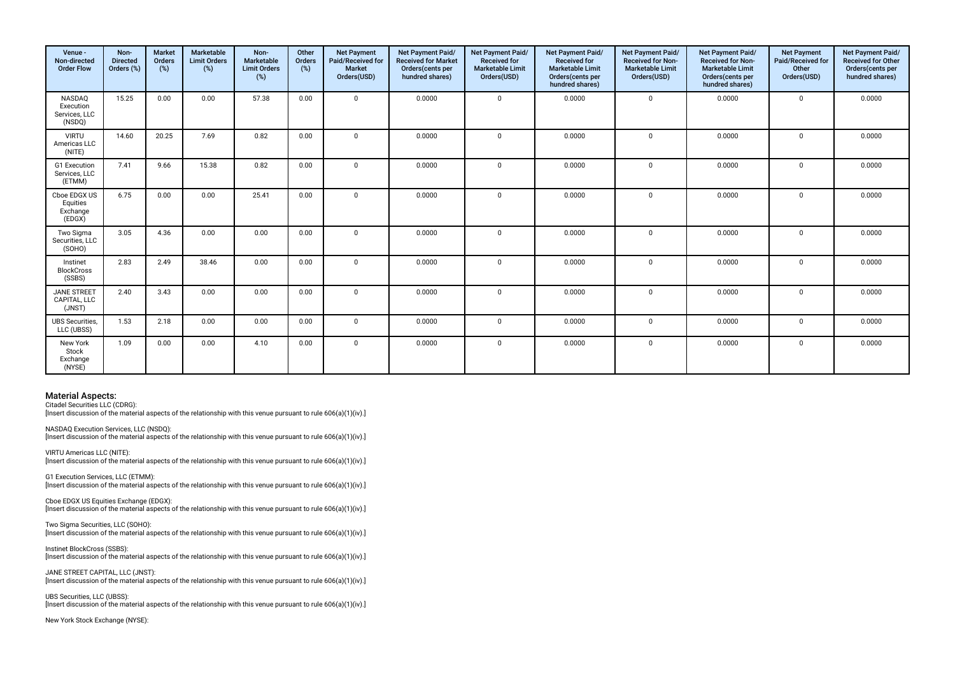| Venue -<br>Non-directed<br><b>Order Flow</b>   | Non-<br><b>Directed</b><br>Orders (%) | <b>Market</b><br>Orders<br>(%) | Marketable<br><b>Limit Orders</b><br>(%) | Non-<br>Marketable<br><b>Limit Orders</b><br>(%) | Other<br>Orders<br>(%) | <b>Net Payment</b><br>Paid/Received for<br><b>Market</b><br>Orders(USD) | Net Payment Paid/<br><b>Received for Market</b><br>Orders(cents per<br>hundred shares) | Net Payment Paid/<br><b>Received for</b><br><b>Marketable Limit</b><br>Orders(USD) | Net Payment Paid/<br><b>Received for</b><br><b>Marketable Limit</b><br>Orders(cents per<br>hundred shares) | Net Payment Paid/<br>Received for Non-<br><b>Marketable Limit</b><br>Orders(USD) | Net Payment Paid/<br><b>Received for Non-</b><br><b>Marketable Limit</b><br>Orders(cents per<br>hundred shares) | <b>Net Payment</b><br>Paid/Received for<br>Other<br>Orders(USD) | Net Payment Paid/<br><b>Received for Other</b><br>Orders(cents per<br>hundred shares) |
|------------------------------------------------|---------------------------------------|--------------------------------|------------------------------------------|--------------------------------------------------|------------------------|-------------------------------------------------------------------------|----------------------------------------------------------------------------------------|------------------------------------------------------------------------------------|------------------------------------------------------------------------------------------------------------|----------------------------------------------------------------------------------|-----------------------------------------------------------------------------------------------------------------|-----------------------------------------------------------------|---------------------------------------------------------------------------------------|
| NASDAQ<br>Execution<br>Services, LLC<br>(NSDQ) | 15.25                                 | 0.00                           | 0.00                                     | 57.38                                            | 0.00                   | $\Omega$                                                                | 0.0000                                                                                 | $\mathbf 0$                                                                        | 0.0000                                                                                                     | $\mathbf 0$                                                                      | 0.0000                                                                                                          | $\mathsf 0$                                                     | 0.0000                                                                                |
| <b>VIRTU</b><br>Americas LLC<br>(NITE)         | 14.60                                 | 20.25                          | 7.69                                     | 0.82                                             | 0.00                   | $\Omega$                                                                | 0.0000                                                                                 | $\Omega$                                                                           | 0.0000                                                                                                     | $\Omega$                                                                         | 0.0000                                                                                                          | $\Omega$                                                        | 0.0000                                                                                |
| G1 Execution<br>Services, LLC<br>(ETMM)        | 7.41                                  | 9.66                           | 15.38                                    | 0.82                                             | 0.00                   | $\mathbf 0$                                                             | 0.0000                                                                                 | $\mathbf 0$                                                                        | 0.0000                                                                                                     | $\mathbf{0}$                                                                     | 0.0000                                                                                                          | $\mathbf 0$                                                     | 0.0000                                                                                |
| Cboe EDGX US<br>Equities<br>Exchange<br>(EDGX) | 6.75                                  | 0.00                           | 0.00                                     | 25.41                                            | 0.00                   | $\Omega$                                                                | 0.0000                                                                                 | $\Omega$                                                                           | 0.0000                                                                                                     | $\mathbf{0}$                                                                     | 0.0000                                                                                                          | $\mathbf 0$                                                     | 0.0000                                                                                |
| Two Sigma<br>Securities, LLC<br>(SOHO)         | 3.05                                  | 4.36                           | 0.00                                     | 0.00                                             | 0.00                   | $\Omega$                                                                | 0.0000                                                                                 | $\Omega$                                                                           | 0.0000                                                                                                     | $\mathbf{0}$                                                                     | 0.0000                                                                                                          | $\mathbf 0$                                                     | 0.0000                                                                                |
| Instinet<br><b>BlockCross</b><br>(SSBS)        | 2.83                                  | 2.49                           | 38.46                                    | 0.00                                             | 0.00                   | $\mathbf 0$                                                             | 0.0000                                                                                 | $\mathbf 0$                                                                        | 0.0000                                                                                                     | $\mathbf{0}$                                                                     | 0.0000                                                                                                          | $\mathbf 0$                                                     | 0.0000                                                                                |
| <b>JANE STREET</b><br>CAPITAL, LLC<br>(JNST)   | 2.40                                  | 3.43                           | 0.00                                     | 0.00                                             | 0.00                   | $\Omega$                                                                | 0.0000                                                                                 | $\Omega$                                                                           | 0.0000                                                                                                     | $\mathbf 0$                                                                      | 0.0000                                                                                                          | $\mathbf{0}$                                                    | 0.0000                                                                                |
| <b>UBS Securities.</b><br>LLC (UBSS)           | 1.53                                  | 2.18                           | 0.00                                     | 0.00                                             | 0.00                   | $\mathbf{0}$                                                            | 0.0000                                                                                 | $\mathbf{0}$                                                                       | 0.0000                                                                                                     | $\mathbf 0$                                                                      | 0.0000                                                                                                          | $\mathbf 0$                                                     | 0.0000                                                                                |
| New York<br>Stock<br>Exchange<br>(NYSE)        | 1.09                                  | 0.00                           | 0.00                                     | 4.10                                             | 0.00                   | $\mathbf 0$                                                             | 0.0000                                                                                 | $\mathbf 0$                                                                        | 0.0000                                                                                                     | $\mathbf 0$                                                                      | 0.0000                                                                                                          | $\mathbf 0$                                                     | 0.0000                                                                                |

Citadel Securities LLC (CDRG): [Insert discussion of the material aspects of the relationship with this venue pursuant to rule 606(a)(1)(iv).]

NASDAQ Execution Services, LLC (NSDQ): [Insert discussion of the material aspects of the relationship with this venue pursuant to rule 606(a)(1)(iv).]

VIRTU Americas LLC (NITE): [Insert discussion of the material aspects of the relationship with this venue pursuant to rule 606(a)(1)(iv).]

G1 Execution Services, LLC (ETMM): [Insert discussion of the material aspects of the relationship with this venue pursuant to rule 606(a)(1)(iv).]

Cboe EDGX US Equities Exchange (EDGX): [Insert discussion of the material aspects of the relationship with this venue pursuant to rule 606(a)(1)(iv).]

Two Sigma Securities, LLC (SOHO): [Insert discussion of the material aspects of the relationship with this venue pursuant to rule 606(a)(1)(iv).]

Instinet BlockCross (SSBS): [Insert discussion of the material aspects of the relationship with this venue pursuant to rule 606(a)(1)(iv).]

JANE STREET CAPITAL, LLC (JNST): [Insert discussion of the material aspects of the relationship with this venue pursuant to rule 606(a)(1)(iv).]

UBS Securities, LLC (UBSS): [Insert discussion of the material aspects of the relationship with this venue pursuant to rule 606(a)(1)(iv).]

New York Stock Exchange (NYSE):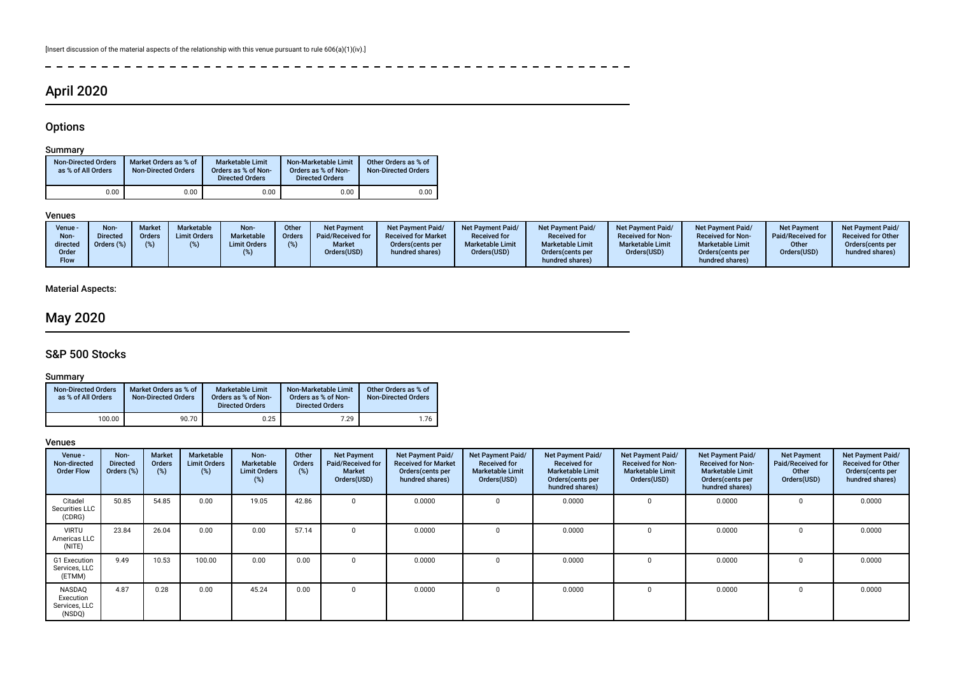$- - - - - -$ 

# April 2020

# **Options**

 $\overline{a}$ 

### Summary

| <b>Non-Directed Orders</b><br>as % of All Orders | Market Orders as % of<br><b>Non-Directed Orders</b> | <b>Marketable Limit</b><br>Orders as % of Non-<br><b>Directed Orders</b> | Non-Marketable Limit<br>Orders as % of Non-<br><b>Directed Orders</b> | Other Orders as % of<br><b>Non-Directed Orders</b> |
|--------------------------------------------------|-----------------------------------------------------|--------------------------------------------------------------------------|-----------------------------------------------------------------------|----------------------------------------------------|
| 0.00                                             | 0.00                                                | 0.00                                                                     | 0.00                                                                  | 0.00                                               |

#### Venues

 $\frac{1}{2}$ 

### Material Aspects:

# May 2020

## S&P 500 Stocks

### **Summary**

| <b>Non-Directed Orders</b><br>as % of All Orders | Market Orders as % of<br><b>Non-Directed Orders</b> | <b>Marketable Limit</b><br>Orders as % of Non-<br><b>Directed Orders</b> | Non-Marketable Limit<br>Orders as % of Non-<br><b>Directed Orders</b> | Other Orders as % of<br><b>Non-Directed Orders</b> |
|--------------------------------------------------|-----------------------------------------------------|--------------------------------------------------------------------------|-----------------------------------------------------------------------|----------------------------------------------------|
| 100.00                                           | 90.70                                               | 0.25                                                                     | 7.29                                                                  | 1.76                                               |

| Venue -<br>Non-directed<br><b>Order Flow</b>   | Non-<br><b>Directed</b><br>Orders (%) | <b>Market</b><br>Orders<br>(%) | Marketable<br><b>Limit Orders</b><br>(%) | Non-<br><b>Marketable</b><br><b>Limit Orders</b><br>(%) | Other<br><b>Orders</b><br>(%) | <b>Net Payment</b><br>Paid/Received for<br><b>Market</b><br>Orders(USD) | Net Payment Paid/<br><b>Received for Market</b><br>Orders (cents per<br>hundred shares) | Net Payment Paid/<br><b>Received for</b><br><b>Marketable Limit</b><br>Orders(USD) | <b>Net Payment Paid/</b><br><b>Received for</b><br><b>Marketable Limit</b><br>Orders(cents per<br>hundred shares) | Net Payment Paid/<br><b>Received for Non-</b><br><b>Marketable Limit</b><br>Orders(USD) | Net Payment Paid/<br><b>Received for Non-</b><br><b>Marketable Limit</b><br>Orders (cents per<br>hundred shares) | <b>Net Payment</b><br><b>Paid/Received for</b><br>Other<br>Orders(USD) | Net Payment Paid/<br><b>Received for Other</b><br>Orders(cents per<br>hundred shares) |
|------------------------------------------------|---------------------------------------|--------------------------------|------------------------------------------|---------------------------------------------------------|-------------------------------|-------------------------------------------------------------------------|-----------------------------------------------------------------------------------------|------------------------------------------------------------------------------------|-------------------------------------------------------------------------------------------------------------------|-----------------------------------------------------------------------------------------|------------------------------------------------------------------------------------------------------------------|------------------------------------------------------------------------|---------------------------------------------------------------------------------------|
| Citadel<br>Securities LLC<br>(CDRG)            | 50.85                                 | 54.85                          | 0.00                                     | 19.05                                                   | 42.86                         | $\mathbf{0}$                                                            | 0.0000                                                                                  |                                                                                    | 0.0000                                                                                                            | $\mathbf 0$                                                                             | 0.0000                                                                                                           | $\Omega$                                                               | 0.0000                                                                                |
| <b>VIRTU</b><br>Americas LLC<br>(NITE)         | 23.84                                 | 26.04                          | 0.00                                     | 0.00                                                    | 57.14                         | $\Omega$                                                                | 0.0000                                                                                  |                                                                                    | 0.0000                                                                                                            | $\Omega$                                                                                | 0.0000                                                                                                           |                                                                        | 0.0000                                                                                |
| G1 Execution<br>Services, LLC<br>(ETMM)        | 9.49                                  | 10.53                          | 100.00                                   | 0.00                                                    | 0.00                          | $\Omega$                                                                | 0.0000                                                                                  |                                                                                    | 0.0000                                                                                                            | 0                                                                                       | 0.0000                                                                                                           |                                                                        | 0.0000                                                                                |
| NASDAQ<br>Execution<br>Services, LLC<br>(NSDQ) | 4.87                                  | 0.28                           | 0.00                                     | 45.24                                                   | 0.00                          | $\mathbf{0}$                                                            | 0.0000                                                                                  |                                                                                    | 0.0000                                                                                                            | 0                                                                                       | 0.0000                                                                                                           |                                                                        | 0.0000                                                                                |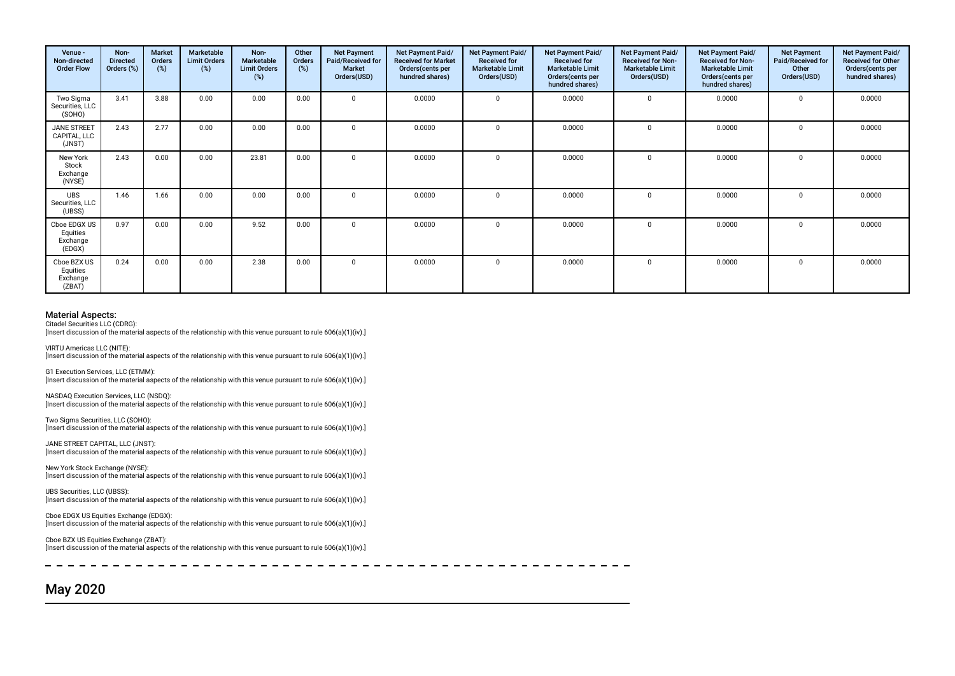| Venue -<br>Non-directed<br><b>Order Flow</b>   | Non-<br><b>Directed</b><br>Orders (%) | <b>Market</b><br><b>Orders</b><br>(%) | Marketable<br><b>Limit Orders</b><br>$(\%)$ | Non-<br><b>Marketable</b><br><b>Limit Orders</b><br>(%) | Other<br>Orders<br>(%) | <b>Net Payment</b><br>Paid/Received for<br><b>Market</b><br>Orders(USD) | Net Payment Paid/<br><b>Received for Market</b><br>Orders(cents per<br>hundred shares) | Net Payment Paid/<br><b>Received for</b><br><b>Marketable Limit</b><br>Orders(USD) | Net Payment Paid/<br><b>Received for</b><br><b>Marketable Limit</b><br>Orders(cents per<br>hundred shares) | <b>Net Payment Paid/</b><br><b>Received for Non-</b><br><b>Marketable Limit</b><br>Orders(USD) | Net Payment Paid/<br><b>Received for Non-</b><br><b>Marketable Limit</b><br>Orders (cents per<br>hundred shares) | <b>Net Payment</b><br>Paid/Received for<br>Other<br>Orders(USD) | Net Payment Paid/<br><b>Received for Other</b><br>Orders(cents per<br>hundred shares) |
|------------------------------------------------|---------------------------------------|---------------------------------------|---------------------------------------------|---------------------------------------------------------|------------------------|-------------------------------------------------------------------------|----------------------------------------------------------------------------------------|------------------------------------------------------------------------------------|------------------------------------------------------------------------------------------------------------|------------------------------------------------------------------------------------------------|------------------------------------------------------------------------------------------------------------------|-----------------------------------------------------------------|---------------------------------------------------------------------------------------|
| Two Sigma<br>Securities, LLC<br>(SOHO)         | 3.41                                  | 3.88                                  | 0.00                                        | 0.00                                                    | 0.00                   | $\Omega$                                                                | 0.0000                                                                                 | $\Omega$                                                                           | 0.0000                                                                                                     | $\mathbf 0$                                                                                    | 0.0000                                                                                                           | $\Omega$                                                        | 0.0000                                                                                |
| <b>JANE STREET</b><br>CAPITAL, LLC<br>(JNST)   | 2.43                                  | 2.77                                  | 0.00                                        | 0.00                                                    | 0.00                   | $\Omega$                                                                | 0.0000                                                                                 | $\Omega$                                                                           | 0.0000                                                                                                     | $\Omega$                                                                                       | 0.0000                                                                                                           | $\Omega$                                                        | 0.0000                                                                                |
| New York<br>Stock<br>Exchange<br>(NYSE)        | 2.43                                  | 0.00                                  | 0.00                                        | 23.81                                                   | 0.00                   | $\Omega$                                                                | 0.0000                                                                                 | $\Omega$                                                                           | 0.0000                                                                                                     | $\Omega$                                                                                       | 0.0000                                                                                                           | $\Omega$                                                        | 0.0000                                                                                |
| <b>UBS</b><br>Securities, LLC<br>(UBSS)        | 1.46                                  | 1.66                                  | 0.00                                        | 0.00                                                    | 0.00                   | $\mathbf{0}$                                                            | 0.0000                                                                                 |                                                                                    | 0.0000                                                                                                     | $\mathbf 0$                                                                                    | 0.0000                                                                                                           | 0                                                               | 0.0000                                                                                |
| Cboe EDGX US<br>Equities<br>Exchange<br>(EDGX) | 0.97                                  | 0.00                                  | 0.00                                        | 9.52                                                    | 0.00                   | $\Omega$                                                                | 0.0000                                                                                 |                                                                                    | 0.0000                                                                                                     | $\mathbf 0$                                                                                    | 0.0000                                                                                                           | $\Omega$                                                        | 0.0000                                                                                |
| Cboe BZX US<br>Equities<br>Exchange<br>(ZBAT)  | 0.24                                  | 0.00                                  | 0.00                                        | 2.38                                                    | 0.00                   | $\mathbf{0}$                                                            | 0.0000                                                                                 | $\Omega$                                                                           | 0.0000                                                                                                     | $\mathbf 0$                                                                                    | 0.0000                                                                                                           | 0                                                               | 0.0000                                                                                |

Citadel Securities LLC (CDRG): [Insert discussion of the material aspects of the relationship with this venue pursuant to rule 606(a)(1)(iv).]

VIRTU Americas LLC (NITE): [Insert discussion of the material aspects of the relationship with this venue pursuant to rule 606(a)(1)(iv).]

G1 Execution Services, LLC (ETMM): [Insert discussion of the material aspects of the relationship with this venue pursuant to rule 606(a)(1)(iv).]

NASDAQ Execution Services, LLC (NSDQ): [Insert discussion of the material aspects of the relationship with this venue pursuant to rule 606(a)(1)(iv).]

Two Sigma Securities, LLC (SOHO): [Insert discussion of the material aspects of the relationship with this venue pursuant to rule 606(a)(1)(iv).]

JANE STREET CAPITAL, LLC (JNST): [Insert discussion of the material aspects of the relationship with this venue pursuant to rule 606(a)(1)(iv).]

New York Stock Exchange (NYSE): [Insert discussion of the material aspects of the relationship with this venue pursuant to rule 606(a)(1)(iv).]

UBS Securities, LLC (UBSS): [Insert discussion of the material aspects of the relationship with this venue pursuant to rule 606(a)(1)(iv).]

Cboe EDGX US Equities Exchange (EDGX): [Insert discussion of the material aspects of the relationship with this venue pursuant to rule 606(a)(1)(iv).]

Cboe BZX US Equities Exchange (ZBAT): [Insert discussion of the material aspects of the relationship with this venue pursuant to rule 606(a)(1)(iv).]

# May 2020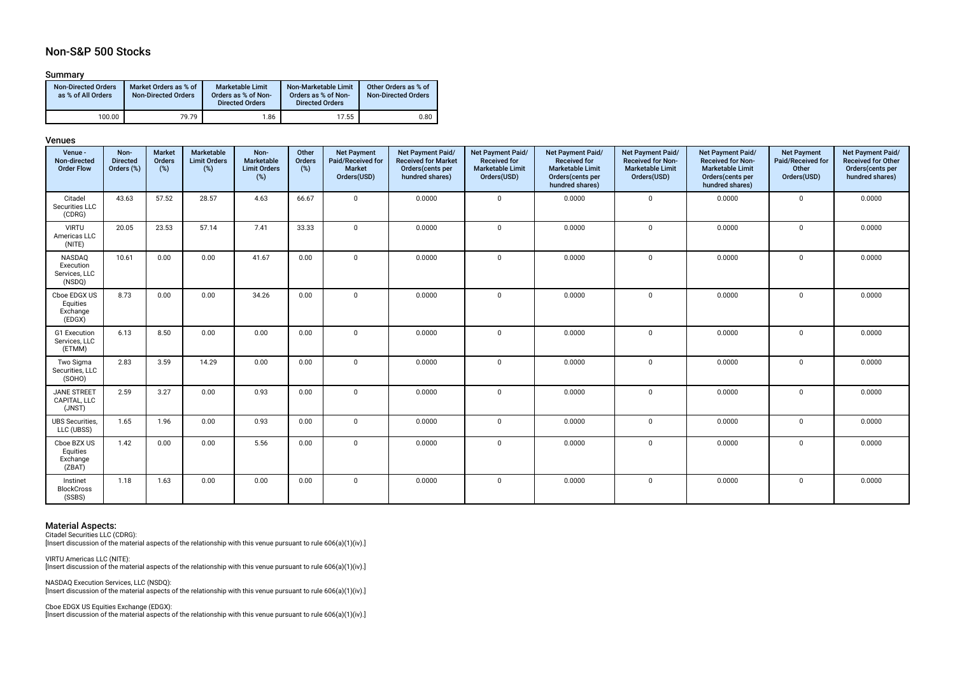# Non-S&P 500 Stocks

#### Summary

| <b>Non-Directed Orders</b><br>as % of All Orders | Market Orders as % of<br><b>Non-Directed Orders</b> | <b>Marketable Limit</b><br>Orders as % of Non-<br><b>Directed Orders</b> | Non-Marketable Limit<br>Orders as % of Non-<br><b>Directed Orders</b> | Other Orders as % of<br><b>Non-Directed Orders</b> |
|--------------------------------------------------|-----------------------------------------------------|--------------------------------------------------------------------------|-----------------------------------------------------------------------|----------------------------------------------------|
| 100.00                                           | 79.79                                               | 1.86                                                                     | 17.55                                                                 | 0.80                                               |

#### Venues

| Venue -<br>Non-directed<br><b>Order Flow</b>   | Non-<br><b>Directed</b><br>Orders (%) | <b>Market</b><br>Orders<br>$(\%)$ | Marketable<br><b>Limit Orders</b><br>$(\%)$ | Non-<br>Marketable<br><b>Limit Orders</b><br>(%) | Other<br>Orders<br>$(\%)$ | <b>Net Payment</b><br>Paid/Received for<br>Market<br>Orders(USD) | Net Payment Paid/<br><b>Received for Market</b><br>Orders(cents per<br>hundred shares) | Net Payment Paid/<br><b>Received for</b><br><b>Marketable Limit</b><br>Orders(USD) | Net Payment Paid/<br><b>Received for</b><br><b>Marketable Limit</b><br>Orders(cents per<br>hundred shares) | Net Payment Paid/<br><b>Received for Non-</b><br><b>Marketable Limit</b><br>Orders(USD) | Net Payment Paid/<br><b>Received for Non-</b><br><b>Marketable Limit</b><br>Orders(cents per<br>hundred shares) | <b>Net Payment</b><br>Paid/Received for<br>Other<br>Orders(USD) | Net Payment Paid/<br><b>Received for Other</b><br>Orders(cents per<br>hundred shares) |
|------------------------------------------------|---------------------------------------|-----------------------------------|---------------------------------------------|--------------------------------------------------|---------------------------|------------------------------------------------------------------|----------------------------------------------------------------------------------------|------------------------------------------------------------------------------------|------------------------------------------------------------------------------------------------------------|-----------------------------------------------------------------------------------------|-----------------------------------------------------------------------------------------------------------------|-----------------------------------------------------------------|---------------------------------------------------------------------------------------|
| Citadel<br>Securities LLC<br>(CDRG)            | 43.63                                 | 57.52                             | 28.57                                       | 4.63                                             | 66.67                     | $\Omega$                                                         | 0.0000                                                                                 | $\mathbf 0$                                                                        | 0.0000                                                                                                     | $\mathbf 0$                                                                             | 0.0000                                                                                                          | $\mathbf 0$                                                     | 0.0000                                                                                |
| <b>VIRTU</b><br>Americas LLC<br>(NITE)         | 20.05                                 | 23.53                             | 57.14                                       | 7.41                                             | 33.33                     | $\mathbf{0}$                                                     | 0.0000                                                                                 | $\mathbf 0$                                                                        | 0.0000                                                                                                     | $\mathbf 0$                                                                             | 0.0000                                                                                                          | $\mathbf 0$                                                     | 0.0000                                                                                |
| NASDAQ<br>Execution<br>Services, LLC<br>(NSDQ) | 10.61                                 | 0.00                              | 0.00                                        | 41.67                                            | 0.00                      | $\mathbf 0$                                                      | 0.0000                                                                                 | $\mathbf 0$                                                                        | 0.0000                                                                                                     | $\mathbf 0$                                                                             | 0.0000                                                                                                          | $\mathbf 0$                                                     | 0.0000                                                                                |
| Cboe EDGX US<br>Equities<br>Exchange<br>(EDGX) | 8.73                                  | 0.00                              | 0.00                                        | 34.26                                            | 0.00                      | $\mathbf 0$                                                      | 0.0000                                                                                 | $\mathbf 0$                                                                        | 0.0000                                                                                                     | $\mathbf 0$                                                                             | 0.0000                                                                                                          | $\mathbf 0$                                                     | 0.0000                                                                                |
| G1 Execution<br>Services, LLC<br>(ETMM)        | 6.13                                  | 8.50                              | 0.00                                        | 0.00                                             | 0.00                      | $\Omega$                                                         | 0.0000                                                                                 | $\mathbf 0$                                                                        | 0.0000                                                                                                     | $\mathbf 0$                                                                             | 0.0000                                                                                                          | $\mathbf 0$                                                     | 0.0000                                                                                |
| Two Sigma<br>Securities, LLC<br>(SOHO)         | 2.83                                  | 3.59                              | 14.29                                       | 0.00                                             | 0.00                      | $\mathbf 0$                                                      | 0.0000                                                                                 | $\mathbf 0$                                                                        | 0.0000                                                                                                     | $\mathbf 0$                                                                             | 0.0000                                                                                                          | $\mathbf 0$                                                     | 0.0000                                                                                |
| <b>JANE STREET</b><br>CAPITAL, LLC<br>(JNST)   | 2.59                                  | 3.27                              | 0.00                                        | 0.93                                             | 0.00                      | $\mathbf 0$                                                      | 0.0000                                                                                 | $\mathbf 0$                                                                        | 0.0000                                                                                                     | $\mathbf 0$                                                                             | 0.0000                                                                                                          | 0                                                               | 0.0000                                                                                |
| <b>UBS</b> Securities,<br>LLC (UBSS)           | 1.65                                  | 1.96                              | 0.00                                        | 0.93                                             | 0.00                      | $\mathbf{0}$                                                     | 0.0000                                                                                 | $\mathbf 0$                                                                        | 0.0000                                                                                                     | $\mathbf 0$                                                                             | 0.0000                                                                                                          | $\mathbf 0$                                                     | 0.0000                                                                                |
| Cboe BZX US<br>Equities<br>Exchange<br>(ZBAT)  | 1.42                                  | 0.00                              | 0.00                                        | 5.56                                             | 0.00                      | $\mathbf{0}$                                                     | 0.0000                                                                                 | $\mathbf 0$                                                                        | 0.0000                                                                                                     | $\mathbf 0$                                                                             | 0.0000                                                                                                          | $\mathbf 0$                                                     | 0.0000                                                                                |
| Instinet<br><b>BlockCross</b><br>(SSBS)        | 1.18                                  | 1.63                              | 0.00                                        | 0.00                                             | 0.00                      | $\mathbf 0$                                                      | 0.0000                                                                                 | $\mathbf 0$                                                                        | 0.0000                                                                                                     | $\mathbf 0$                                                                             | 0.0000                                                                                                          | $\mathsf{O}$                                                    | 0.0000                                                                                |

# Material Aspects: Citadel Securities LLC (CDRG):

Insert discussion of the material aspects of the relationship with this venue pursuant to rule 606(a)(1)(iv).]

VIRTU Americas LLC (NITE): [Insert discussion of the material aspects of the relationship with this venue pursuant to rule 606(a)(1)(iv).]

NASDAQ Execution Services, LLC (NSDQ): [Insert discussion of the material aspects of the relationship with this venue pursuant to rule 606(a)(1)(iv).]

Cboe EDGX US Equities Exchange (EDGX): [Insert discussion of the material aspects of the relationship with this venue pursuant to rule 606(a)(1)(iv).]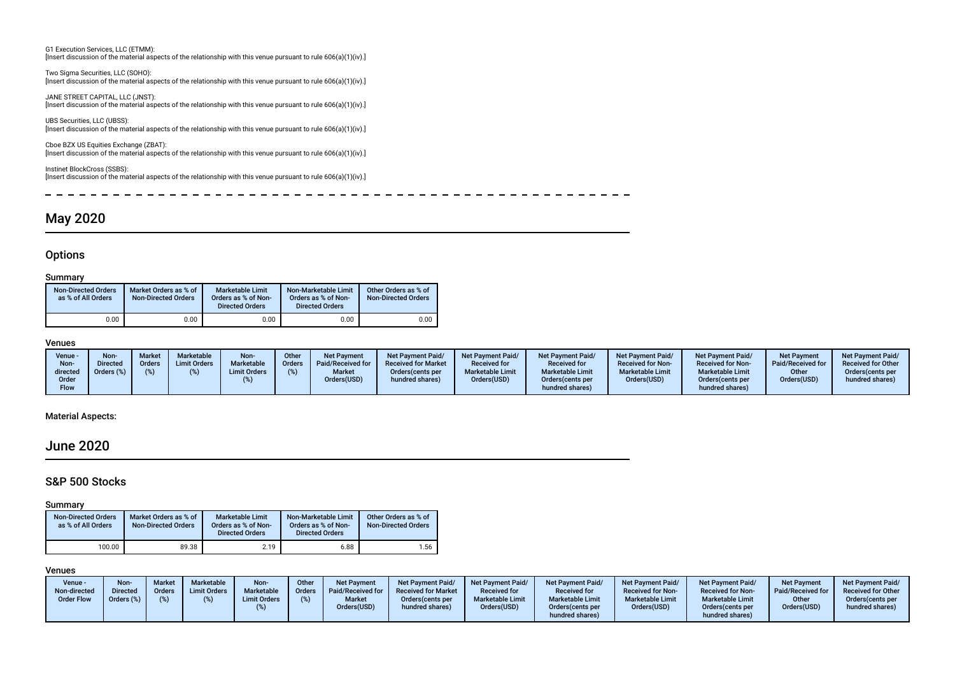G1 Execution Services, LLC (ETMM): [Insert discussion of the material aspects of the relationship with this venue pursuant to rule 606(a)(1)(iv).]

Two Sigma Securities, LLC (SOHO): [Insert discussion of the material aspects of the relationship with this venue pursuant to rule 606(a)(1)(iv).]

JANE STREET CAPITAL, LLC (JNST): [Insert discussion of the material aspects of the relationship with this venue pursuant to rule 606(a)(1)(iv).]

UBS Securities, LLC (UBSS): [Insert discussion of the material aspects of the relationship with this venue pursuant to rule 606(a)(1)(iv).]

Cboe BZX US Equities Exchange (ZBAT): [Insert discussion of the material aspects of the relationship with this venue pursuant to rule 606(a)(1)(iv).]

Instinet BlockCross (SSBS): [Insert discussion of the material aspects of the relationship with this venue pursuant to rule 606(a)(1)(iv).]

 $\overline{a}$  $-$ 

# May 2020

# **Options**

| Summarv                                          |                                                     |                                                                          |                                                                       |                                                    |
|--------------------------------------------------|-----------------------------------------------------|--------------------------------------------------------------------------|-----------------------------------------------------------------------|----------------------------------------------------|
| <b>Non-Directed Orders</b><br>as % of All Orders | Market Orders as % of<br><b>Non-Directed Orders</b> | <b>Marketable Limit</b><br>Orders as % of Non-<br><b>Directed Orders</b> | Non-Marketable Limit<br>Orders as % of Non-<br><b>Directed Orders</b> | Other Orders as % of<br><b>Non-Directed Orders</b> |
| 0.00                                             | 0.00                                                | 0.00                                                                     | 0.00                                                                  | 0.00                                               |

#### Venues

| Non-<br>Marketable<br>Non-<br>Market<br>Other<br>Venue -<br><b>Net Pavment</b><br>Marketable<br><b>Limit Orders</b><br>Paid/Received for<br>Directed<br><b>Orders</b><br>Orders<br>Non-<br>Orders (%)<br><b>Market</b><br><b>Limit Orders</b><br>directed<br>Orders(USD)<br>Order<br><b>Flow</b> | <b>Net Payment Paid/</b><br>Net Payment Paid/<br><b>Received for Market</b><br><b>Received for</b><br><b>Marketable Limit</b><br>Orders (cents per<br>Orders(USD)<br>hundred shares) | Net Payment Paid/<br>Net Payment Paid/<br><b>Received for Non-</b><br><b>Received for</b><br><b>Marketable Limit</b><br><b>Marketable Limit</b><br>Orders(USD)<br>Orders (cents per<br>hundred shares) | <b>Net Payment</b><br>Net Payment Paid/<br>Paid/Received for<br><b>Received for Non-</b><br><b>Marketable Limit</b><br>Other<br>Orders(USD)<br>Orders (cents per<br>hundred shares) | <b>Net Payment Paid/</b><br><b>Received for Other</b><br>Orders(cents per<br>hundred shares) |
|--------------------------------------------------------------------------------------------------------------------------------------------------------------------------------------------------------------------------------------------------------------------------------------------------|--------------------------------------------------------------------------------------------------------------------------------------------------------------------------------------|--------------------------------------------------------------------------------------------------------------------------------------------------------------------------------------------------------|-------------------------------------------------------------------------------------------------------------------------------------------------------------------------------------|----------------------------------------------------------------------------------------------|
|--------------------------------------------------------------------------------------------------------------------------------------------------------------------------------------------------------------------------------------------------------------------------------------------------|--------------------------------------------------------------------------------------------------------------------------------------------------------------------------------------|--------------------------------------------------------------------------------------------------------------------------------------------------------------------------------------------------------|-------------------------------------------------------------------------------------------------------------------------------------------------------------------------------------|----------------------------------------------------------------------------------------------|

### Material Aspects:

# June 2020

## S&P 500 Stocks

#### Summary

| <b>Non-Directed Orders</b><br>as % of All Orders | Market Orders as % of<br><b>Non-Directed Orders</b> | <b>Marketable Limit</b><br>Orders as % of Non-<br><b>Directed Orders</b> | Non-Marketable Limit<br>Orders as % of Non-<br><b>Directed Orders</b> | Other Orders as % of<br><b>Non-Directed Orders</b> |
|--------------------------------------------------|-----------------------------------------------------|--------------------------------------------------------------------------|-----------------------------------------------------------------------|----------------------------------------------------|
| 100.00                                           | 89.38                                               | 2.19                                                                     | 6.88                                                                  | 1.56                                               |

| Venue -<br>Non-directed<br><b>Order Flow</b> | Non-<br><b>Directed</b><br>Orders (%) | <b>Market</b><br>Orders | <b>Marketable</b><br><b>Limit Orders</b> | Non-<br>Marketable<br><b>Limit Orders</b> | Other<br>Orders<br>(%) | Net Payment<br>Paid/Received for<br><b>Market</b><br>Orders(USD) | Net Payment Paid/<br><b>Received for Market</b><br>Orders (cents per<br>hundred shares) | <b>Net Payment Paid/</b><br><b>Received for</b><br><b>Marketable Limit</b><br>Orders(USD) | <b>Net Payment Paid/</b><br><b>Received for</b><br><b>Marketable Limit</b><br>Orders(cents per<br>hundred shares) | <b>Net Payment Paid/</b><br><b>Received for Non-</b><br><b>Marketable Limit</b><br>Orders(USD) | <b>Net Payment Paid/</b><br><b>Received for Non-</b><br><b>Marketable Limit</b><br>Orders(cents per<br>hundred shares) | Net Payment<br>Paid/Received for<br>Other<br>Orders(USD) | <b>Net Payment Paid/</b><br><b>Received for Other</b><br>Orders(cents per<br>hundred shares) |
|----------------------------------------------|---------------------------------------|-------------------------|------------------------------------------|-------------------------------------------|------------------------|------------------------------------------------------------------|-----------------------------------------------------------------------------------------|-------------------------------------------------------------------------------------------|-------------------------------------------------------------------------------------------------------------------|------------------------------------------------------------------------------------------------|------------------------------------------------------------------------------------------------------------------------|----------------------------------------------------------|----------------------------------------------------------------------------------------------|
|----------------------------------------------|---------------------------------------|-------------------------|------------------------------------------|-------------------------------------------|------------------------|------------------------------------------------------------------|-----------------------------------------------------------------------------------------|-------------------------------------------------------------------------------------------|-------------------------------------------------------------------------------------------------------------------|------------------------------------------------------------------------------------------------|------------------------------------------------------------------------------------------------------------------------|----------------------------------------------------------|----------------------------------------------------------------------------------------------|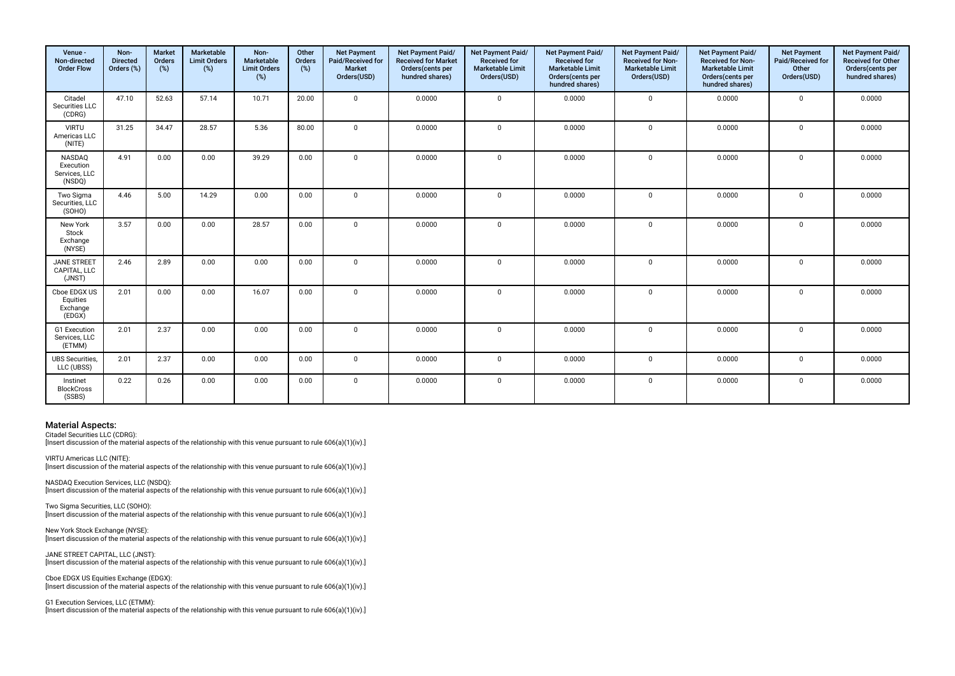| Venue -<br>Non-directed<br><b>Order Flow</b>          | Non-<br><b>Directed</b><br>Orders (%) | <b>Market</b><br>Orders<br>(%) | Marketable<br><b>Limit Orders</b><br>(%) | Non-<br>Marketable<br><b>Limit Orders</b><br>(%) | Other<br>Orders<br>(%) | <b>Net Payment</b><br>Paid/Received for<br><b>Market</b><br>Orders(USD) | Net Payment Paid/<br><b>Received for Market</b><br>Orders(cents per<br>hundred shares) | Net Payment Paid/<br>Received for<br>Marketable Limit<br>Orders(USD) | Net Payment Paid/<br>Received for<br><b>Marketable Limit</b><br>Orders(cents per<br>hundred shares) | Net Payment Paid/<br>Received for Non-<br><b>Marketable Limit</b><br>Orders(USD) | Net Payment Paid/<br>Received for Non-<br><b>Marketable Limit</b><br>Orders(cents per<br>hundred shares) | <b>Net Payment</b><br>Paid/Received for<br>Other<br>Orders(USD) | Net Payment Paid/<br><b>Received for Other</b><br>Orders(cents per<br>hundred shares) |
|-------------------------------------------------------|---------------------------------------|--------------------------------|------------------------------------------|--------------------------------------------------|------------------------|-------------------------------------------------------------------------|----------------------------------------------------------------------------------------|----------------------------------------------------------------------|-----------------------------------------------------------------------------------------------------|----------------------------------------------------------------------------------|----------------------------------------------------------------------------------------------------------|-----------------------------------------------------------------|---------------------------------------------------------------------------------------|
| Citadel<br>Securities LLC<br>(CDRG)                   | 47.10                                 | 52.63                          | 57.14                                    | 10.71                                            | 20.00                  | $\Omega$                                                                | 0.0000                                                                                 | $\mathbf 0$                                                          | 0.0000                                                                                              | $\mathbf 0$                                                                      | 0.0000                                                                                                   | $\mathbf 0$                                                     | 0.0000                                                                                |
| <b>VIRTU</b><br>Americas LLC<br>(NITE)                | 31.25                                 | 34.47                          | 28.57                                    | 5.36                                             | 80.00                  | $\Omega$                                                                | 0.0000                                                                                 | $\mathbf 0$                                                          | 0.0000                                                                                              | $\mathbf 0$                                                                      | 0.0000                                                                                                   | $\mathbf 0$                                                     | 0.0000                                                                                |
| <b>NASDAO</b><br>Execution<br>Services, LLC<br>(NSDQ) | 4.91                                  | 0.00                           | 0.00                                     | 39.29                                            | 0.00                   | $\Omega$                                                                | 0.0000                                                                                 | $\mathbf 0$                                                          | 0.0000                                                                                              | $\mathbf 0$                                                                      | 0.0000                                                                                                   | $\mathbf 0$                                                     | 0.0000                                                                                |
| Two Sigma<br>Securities, LLC<br>(SOHO)                | 4.46                                  | 5.00                           | 14.29                                    | 0.00                                             | 0.00                   | $\Omega$                                                                | 0.0000                                                                                 | $\mathbf 0$                                                          | 0.0000                                                                                              | $\mathbf 0$                                                                      | 0.0000                                                                                                   | $\mathbf 0$                                                     | 0.0000                                                                                |
| New York<br>Stock<br>Exchange<br>(NYSE)               | 3.57                                  | 0.00                           | 0.00                                     | 28.57                                            | 0.00                   | $\Omega$                                                                | 0.0000                                                                                 | $\mathbf 0$                                                          | 0.0000                                                                                              | $\mathbf 0$                                                                      | 0.0000                                                                                                   | $\mathbf 0$                                                     | 0.0000                                                                                |
| <b>JANE STREET</b><br>CAPITAL, LLC<br>(JNST)          | 2.46                                  | 2.89                           | 0.00                                     | 0.00                                             | 0.00                   | $\Omega$                                                                | 0.0000                                                                                 | $\mathbf 0$                                                          | 0.0000                                                                                              | $\mathbf 0$                                                                      | 0.0000                                                                                                   | $\mathbf 0$                                                     | 0.0000                                                                                |
| Cboe EDGX US<br>Equities<br>Exchange<br>(EDGX)        | 2.01                                  | 0.00                           | 0.00                                     | 16.07                                            | 0.00                   | $\Omega$                                                                | 0.0000                                                                                 | $\mathbf 0$                                                          | 0.0000                                                                                              | $\mathbf 0$                                                                      | 0.0000                                                                                                   | $\mathbf 0$                                                     | 0.0000                                                                                |
| G1 Execution<br>Services, LLC<br>(ETMM)               | 2.01                                  | 2.37                           | 0.00                                     | 0.00                                             | 0.00                   | $\Omega$                                                                | 0.0000                                                                                 | $\mathbf 0$                                                          | 0.0000                                                                                              | $\mathbf 0$                                                                      | 0.0000                                                                                                   | $\mathbf 0$                                                     | 0.0000                                                                                |
| <b>UBS</b> Securities,<br>LLC (UBSS)                  | 2.01                                  | 2.37                           | 0.00                                     | 0.00                                             | 0.00                   | $\mathbf{0}$                                                            | 0.0000                                                                                 | 0                                                                    | 0.0000                                                                                              | $\mathbf 0$                                                                      | 0.0000                                                                                                   | $\mathbf 0$                                                     | 0.0000                                                                                |
| Instinet<br><b>BlockCross</b><br>(SSBS)               | 0.22                                  | 0.26                           | 0.00                                     | 0.00                                             | 0.00                   | $\mathbf{0}$                                                            | 0.0000                                                                                 | $\mathbf 0$                                                          | 0.0000                                                                                              | $\mathbf 0$                                                                      | 0.0000                                                                                                   | $\mathbf 0$                                                     | 0.0000                                                                                |

Citadel Securities LLC (CDRG): [Insert discussion of the material aspects of the relationship with this venue pursuant to rule 606(a)(1)(iv).]

VIRTU Americas LLC (NITE): Insert discussion of the material aspects of the relationship with this venue pursuant to rule 606(a)(1)(iv).]

NASDAQ Execution Services, LLC (NSDQ): [Insert discussion of the material aspects of the relationship with this venue pursuant to rule 606(a)(1)(iv).]

Two Sigma Securities, LLC (SOHO): [Insert discussion of the material aspects of the relationship with this venue pursuant to rule 606(a)(1)(iv).]

New York Stock Exchange (NYSE): [Insert discussion of the material aspects of the relationship with this venue pursuant to rule 606(a)(1)(iv).]

JANE STREET CAPITAL, LLC (JNST): [Insert discussion of the material aspects of the relationship with this venue pursuant to rule 606(a)(1)(iv).]

Cboe EDGX US Equities Exchange (EDGX): [Insert discussion of the material aspects of the relationship with this venue pursuant to rule 606(a)(1)(iv).]

G1 Execution Services, LLC (ETMM): [Insert discussion of the material aspects of the relationship with this venue pursuant to rule 606(a)(1)(iv).]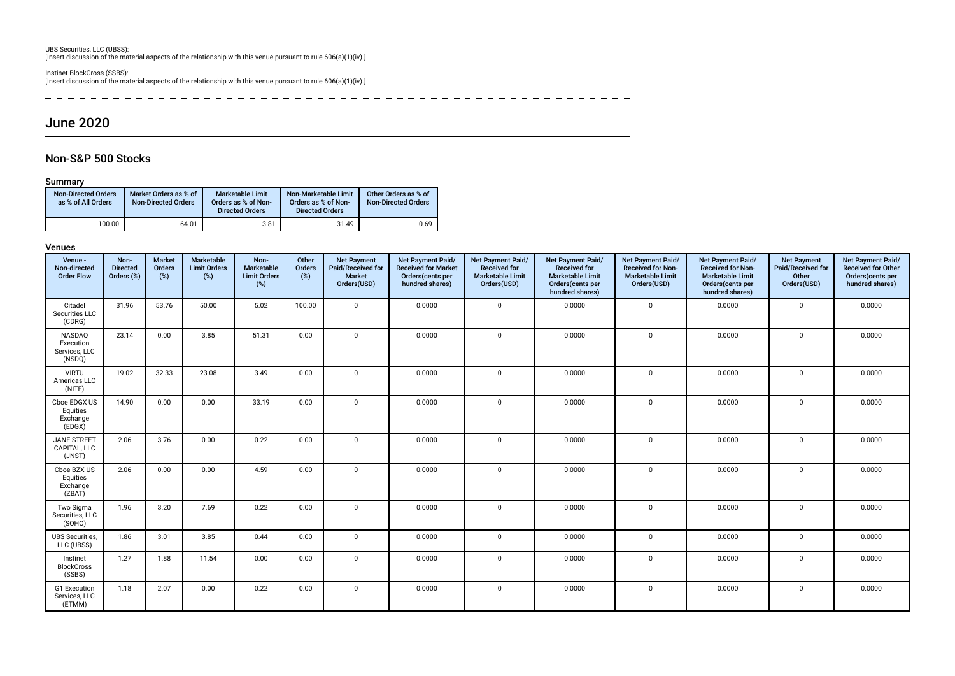UBS Securities, LLC (UBSS): [Insert discussion of the material aspects of the relationship with this venue pursuant to rule 606(a)(1)(iv).]

Instinet BlockCross (SSBS): [Insert discussion of the material aspects of the relationship with this venue pursuant to rule 606(a)(1)(iv).]

 $\sim$ 

# June 2020

## Non-S&P 500 Stocks

#### Summary

| <b>Non-Directed Orders</b><br>as % of All Orders | Market Orders as % of<br><b>Non-Directed Orders</b> | <b>Marketable Limit</b><br>Orders as % of Non-<br><b>Directed Orders</b> | Non-Marketable Limit<br>Orders as % of Non-<br><b>Directed Orders</b> | Other Orders as % of<br><b>Non-Directed Orders</b> |
|--------------------------------------------------|-----------------------------------------------------|--------------------------------------------------------------------------|-----------------------------------------------------------------------|----------------------------------------------------|
| 100.00                                           | 64.01                                               | 3.81                                                                     | 31.49                                                                 | 0.69                                               |

| Venue -<br>Non-directed<br><b>Order Flow</b>   | Non-<br><b>Directed</b><br>Orders (%) | <b>Market</b><br>Orders<br>(%) | Marketable<br><b>Limit Orders</b><br>(%) | Non-<br>Marketable<br><b>Limit Orders</b><br>(%) | Other<br>Orders<br>(%) | <b>Net Payment</b><br>Paid/Received for<br><b>Market</b><br>Orders(USD) | Net Payment Paid/<br><b>Received for Market</b><br>Orders (cents per<br>hundred shares) | Net Payment Paid/<br><b>Received for</b><br><b>Marketable Limit</b><br>Orders(USD) | Net Payment Paid/<br><b>Received for</b><br><b>Marketable Limit</b><br>Orders(cents per<br>hundred shares) | Net Payment Paid/<br><b>Received for Non-</b><br><b>Marketable Limit</b><br>Orders(USD) | Net Payment Paid/<br><b>Received for Non-</b><br>Marketable Limit<br>Orders(cents per<br>hundred shares) | <b>Net Payment</b><br><b>Paid/Received for</b><br>Other<br>Orders(USD) | Net Payment Paid/<br><b>Received for Other</b><br>Orders(cents per<br>hundred shares) |
|------------------------------------------------|---------------------------------------|--------------------------------|------------------------------------------|--------------------------------------------------|------------------------|-------------------------------------------------------------------------|-----------------------------------------------------------------------------------------|------------------------------------------------------------------------------------|------------------------------------------------------------------------------------------------------------|-----------------------------------------------------------------------------------------|----------------------------------------------------------------------------------------------------------|------------------------------------------------------------------------|---------------------------------------------------------------------------------------|
| Citadel<br>Securities LLC<br>(CDRG)            | 31.96                                 | 53.76                          | 50.00                                    | 5.02                                             | 100.00                 | $\mathbf 0$                                                             | 0.0000                                                                                  | $\mathbf{0}$                                                                       | 0.0000                                                                                                     | $\mathbf 0$                                                                             | 0.0000                                                                                                   | $\mathbf 0$                                                            | 0.0000                                                                                |
| NASDAQ<br>Execution<br>Services, LLC<br>(NSDQ) | 23.14                                 | 0.00                           | 3.85                                     | 51.31                                            | 0.00                   | $\Omega$                                                                | 0.0000                                                                                  | $\mathbf{0}$                                                                       | 0.0000                                                                                                     | $\mathbf 0$                                                                             | 0.0000                                                                                                   | $\mathbf 0$                                                            | 0.0000                                                                                |
| <b>VIRTU</b><br>Americas LLC<br>(NITE)         | 19.02                                 | 32.33                          | 23.08                                    | 3.49                                             | 0.00                   | $\mathbf 0$                                                             | 0.0000                                                                                  | $\mathbf 0$                                                                        | 0.0000                                                                                                     | $\mathbf 0$                                                                             | 0.0000                                                                                                   | $\mathbf 0$                                                            | 0.0000                                                                                |
| Cboe EDGX US<br>Equities<br>Exchange<br>(EDGX) | 14.90                                 | 0.00                           | 0.00                                     | 33.19                                            | 0.00                   | $\mathbf{0}$                                                            | 0.0000                                                                                  | $\mathbf{0}$                                                                       | 0.0000                                                                                                     | $\mathbf 0$                                                                             | 0.0000                                                                                                   | $\mathbf 0$                                                            | 0.0000                                                                                |
| <b>JANE STREET</b><br>CAPITAL, LLC<br>(JNST)   | 2.06                                  | 3.76                           | 0.00                                     | 0.22                                             | 0.00                   | $\Omega$                                                                | 0.0000                                                                                  | $\mathbf{0}$                                                                       | 0.0000                                                                                                     | $\Omega$                                                                                | 0.0000                                                                                                   | $\Omega$                                                               | 0.0000                                                                                |
| Cboe BZX US<br>Equities<br>Exchange<br>(ZBAT)  | 2.06                                  | 0.00                           | 0.00                                     | 4.59                                             | 0.00                   | $\Omega$                                                                | 0.0000                                                                                  | $\mathbf{0}$                                                                       | 0.0000                                                                                                     | $\Omega$                                                                                | 0.0000                                                                                                   | $\mathbf 0$                                                            | 0.0000                                                                                |
| Two Sigma<br>Securities, LLC<br>(SOHO)         | 1.96                                  | 3.20                           | 7.69                                     | 0.22                                             | 0.00                   | $\Omega$                                                                | 0.0000                                                                                  | $\Omega$                                                                           | 0.0000                                                                                                     | $\Omega$                                                                                | 0.0000                                                                                                   | $\mathbf 0$                                                            | 0.0000                                                                                |
| <b>UBS</b> Securities,<br>LLC (UBSS)           | 1.86                                  | 3.01                           | 3.85                                     | 0.44                                             | 0.00                   | $\Omega$                                                                | 0.0000                                                                                  | $\mathbf 0$                                                                        | 0.0000                                                                                                     | $\mathbf 0$                                                                             | 0.0000                                                                                                   | $\mathbf 0$                                                            | 0.0000                                                                                |
| Instinet<br><b>BlockCross</b><br>(SSBS)        | 1.27                                  | 1.88                           | 11.54                                    | 0.00                                             | 0.00                   | $\Omega$                                                                | 0.0000                                                                                  | $\mathbf{0}$                                                                       | 0.0000                                                                                                     | $\mathbf 0$                                                                             | 0.0000                                                                                                   | $\mathbf 0$                                                            | 0.0000                                                                                |
| G1 Execution<br>Services, LLC<br>(ETMM)        | 1.18                                  | 2.07                           | 0.00                                     | 0.22                                             | 0.00                   | $\mathbf 0$                                                             | 0.0000                                                                                  | $\mathbf{0}$                                                                       | 0.0000                                                                                                     | $\mathbf{0}$                                                                            | 0.0000                                                                                                   | $\mathbf 0$                                                            | 0.0000                                                                                |